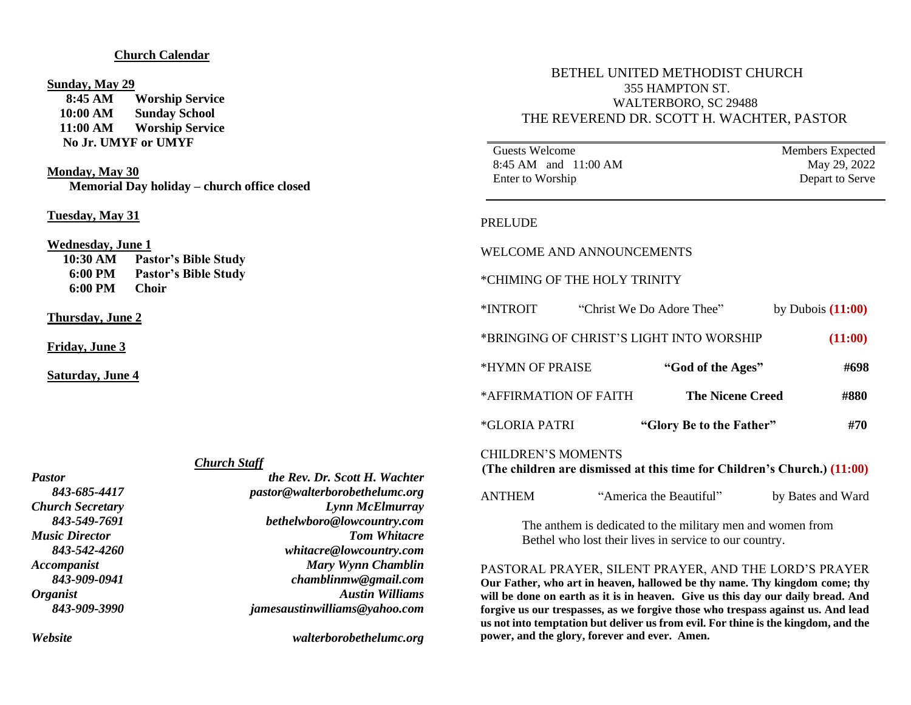## **Church Calendar**

### **Sunday, May 29**

 **8:45 AM Worship Service 10:00 AM Sunday School 11:00 AM Worship Service No Jr. UMYF or UMYF**

#### **Monday, May 30**

 **Memorial Day holiday – church office closed**

### **Tuesday, May 31**

**Wednesday, June 1**

| 10:30 AM          | <b>Pastor's Bible Study</b> |
|-------------------|-----------------------------|
| $6:00 \text{ PM}$ | <b>Pastor's Bible Study</b> |
| 6:00 PM           | <b>Choir</b>                |

**Thursday, June 2**

**Friday, June 3**

**Saturday, June 4**

## *Church Staff*

# *Pastor the Rev. Dr. Scott H. Wachter 843-685-4417 pastor@walterborobethelumc.org Church Secretary Lynn McElmurray 843-549-7691 bethelwboro@lowcountry.com Music Director Tom Whitacre 843-542-4260 whitacre@lowcountry.com Accompanist Mary Wynn Chamblin 843-909-0941 [chamblinmw@gmail.com](mailto:chamblinmw@gmail.com) Organist Austin Williams 843-909-3990 jamesaustinwilliams@yahoo.com*

*Website walterborobethelumc.org*

# BETHEL UNITED METHODIST CHURCH 355 HAMPTON ST. WALTERBORO, SC 29488 THE REVEREND DR. SCOTT H. WACHTER, PASTOR

Guests Welcome Members Expected 8:45 AM and 11:00 AM May 29, 2022 Enter to Worship Depart to Serve

## PRELUDE

WELCOME AND ANNOUNCEMENTS

\*CHIMING OF THE HOLY TRINITY

| *INTROIT              | "Christ We Do Adore Thee" |                                          | by Dubois $(11:00)$ |
|-----------------------|---------------------------|------------------------------------------|---------------------|
|                       |                           | *BRINGING OF CHRIST'S LIGHT INTO WORSHIP | (11:00)             |
| *HYMN OF PRAISE       |                           | "God of the Ages"                        | #698                |
| *AFFIRMATION OF FAITH |                           | <b>The Nicene Creed</b>                  | #880                |
| *GLORIA PATRI         |                           | "Glory Be to the Father"                 | #70                 |

## CHILDREN'S MOMENTS

**(The children are dismissed at this time for Children's Church.) (11:00)**

| ANTHEM | "America the Beautiful" | by Bates and Ward |
|--------|-------------------------|-------------------|
|        |                         |                   |

The anthem is dedicated to the military men and women from Bethel who lost their lives in service to our country.

PASTORAL PRAYER, SILENT PRAYER, AND THE LORD'S PRAYER **Our Father, who art in heaven, hallowed be thy name. Thy kingdom come; thy will be done on earth as it is in heaven. Give us this day our daily bread. And forgive us our trespasses, as we forgive those who trespass against us. And lead us not into temptation but deliver us from evil. For thine is the kingdom, and the power, and the glory, forever and ever. Amen.**